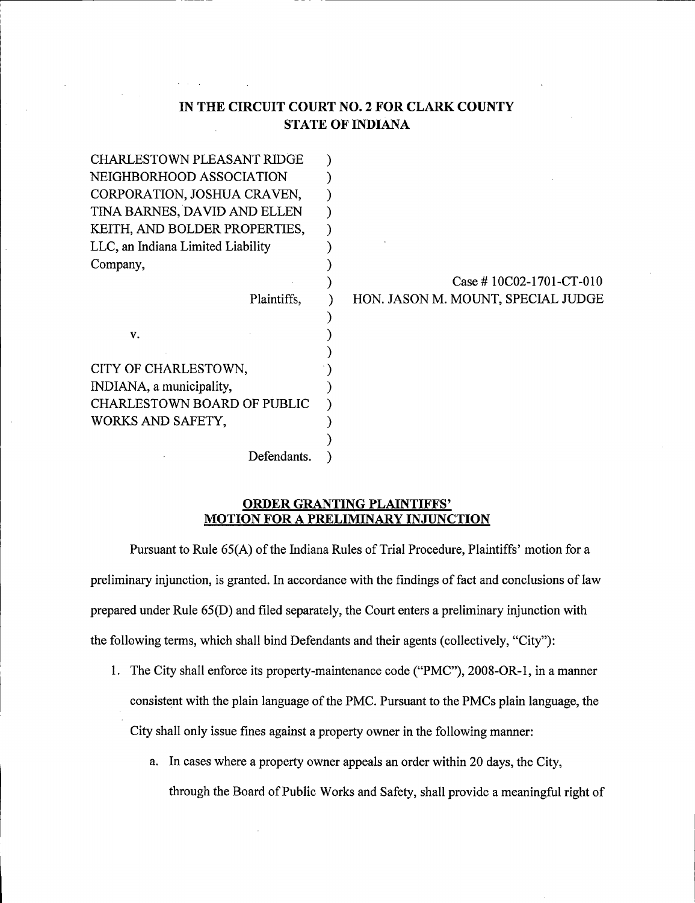### IN THE CIRCUIT COURT N0. 2 FOR CLARK COUNTY STATE OF INDIANA

| <b>CHARLESTOWN PLEASANT RIDGE</b>  |             |                                    |
|------------------------------------|-------------|------------------------------------|
| NEIGHBORHOOD ASSOCIATION           |             |                                    |
| CORPORATION, JOSHUA CRAVEN,        |             |                                    |
| TINA BARNES, DAVID AND ELLEN       |             |                                    |
| KEITH, AND BOLDER PROPERTIES,      |             |                                    |
| LLC, an Indiana Limited Liability  |             |                                    |
| Company,                           |             |                                    |
|                                    |             | Case # $10C02-1701-CT-010$         |
|                                    | Plaintiffs, | HON. JASON M. MOUNT, SPECIAL JUDGE |
|                                    |             |                                    |
| V.                                 |             |                                    |
|                                    |             |                                    |
| CITY OF CHARLESTOWN,               |             |                                    |
| INDIANA, a municipality,           |             |                                    |
| <b>CHARLESTOWN BOARD OF PUBLIC</b> |             |                                    |
| WORKS AND SAFETY,                  |             |                                    |
|                                    |             |                                    |
|                                    | Defendants. |                                    |

#### ORDER GRANTING PLAINTIFFS' MOTION FOR A PRELIMINARY INJUNCTION

Pursuant to Rule 65(A) of the Indiana Rules of Trial Procedure, Plaintiffs' motion for <sup>a</sup> preliminary injunction, is granted. In accordance with the findings of fact and conclusions of law prepared under Rule 65(D) and filed separately, the Court enters a preliminary injunction with the following terms, which shall bind Defendants and their agents (collectively, "City"):

- 1. The City shall enforce its property-maintenance code ("PMC"), 2008-OR-1, in a manner consistent with the plain language of the PMC. Pursuant to the PMCs plain language, the City shall only issue fines against a property owner in the following manner:
	- a. In cases where a property owner appeals an order within 20 days, the City, through the Board of Public Works and Safety, shall provide a meaningful right of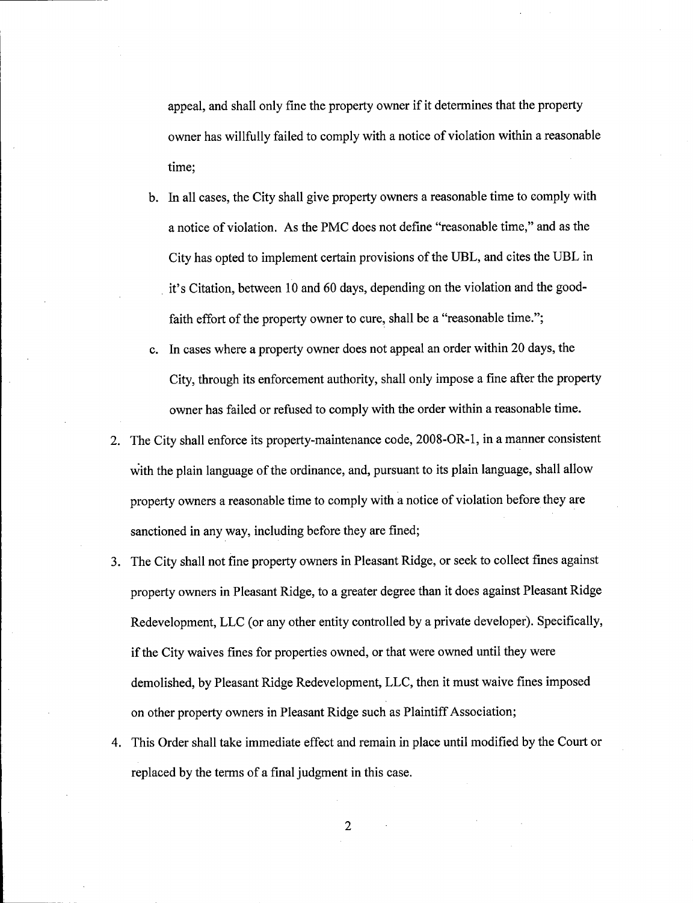appeal, and shall only fine the property owner if it determines that the property owner has willfully failed to comply with a notice of violation within a reasonable time;

- b. In all cases, the City shall give property owners a reasonable time to comply with <sup>a</sup>notice of violation. As the PMC does not define "reasonable time," and as the City has opted to implement certain provisions of the UBL, and cites the UBL in it's Citation, between 10 and 60 days, depending on the violation and the goodfaith effort of the property owner to cure, shall be a "reasonable time.";
- c. In cases where a property owner does not appeal an order within 20 days, the City, through its enforcement authority, shall only impose a fine after the property owner has failed or refused to comply with the order within a reasonable time.
- 2. The City shall enforce its property-maintenance code, 2008-OR-1, in a manner consistent with the plain language of the ordinance, and, pursuant to its plain language, shall allow property owners a reasonable time to comply with a notice of violation before they are sanctioned in any way, including before they are fined;
- 3. The City shall not fine property owners in Pleasant Ridge, or seek to collect fines against property owners in Pleasant Ridge, to a greater degree than it does against Pleasant Ridge Redevelopment, LLC (or any other entity controlled by a private developer). Specifically, if the City waives fines for properties owned, or that were owned until they were demolished, by Pleasant Ridge Redevelopment, LLC, then it must waive fines imposed on other property owners in Pleasant Ridge such as Plaintiff Association;
- 4. This Order shall take immediate effect and remain in place until modified by the Court or replaced by the terms of a final judgment in this case.

 $\overline{2}$